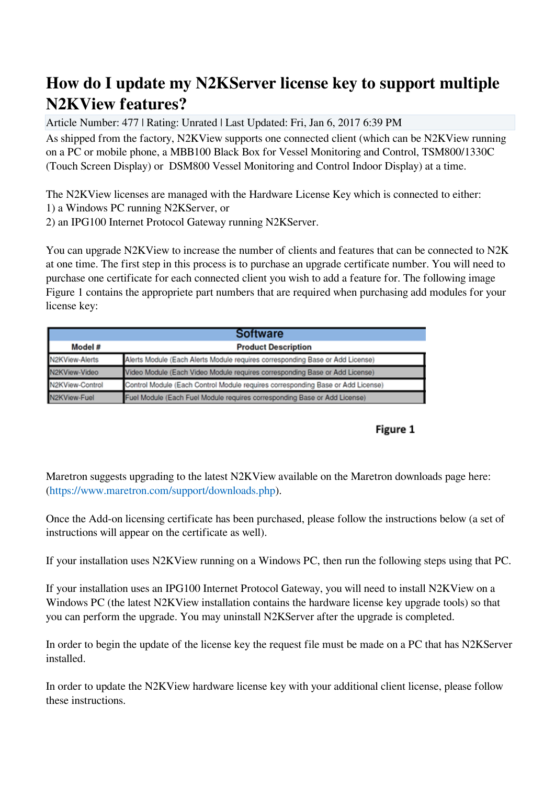## **How do I update my N2KServer license key to support multiple N2KView features?**

Article Number: 477 | Rating: Unrated | Last Updated: Fri, Jan 6, 2017 6:39 PM

As shipped from the factory, N2KView supports one connected client (which can be N2KView running on a PC or mobile phone, a MBB100 Black Box for Vessel Monitoring and Control, TSM800/1330C (Touch Screen Display) or DSM800 Vessel Monitoring and Control Indoor Display) at a time.

The N2KView licenses are managed with the Hardware License Key which is connected to either: 1) a Windows PC running N2KServer, or

2) an IPG100 Internet Protocol Gateway running N2KServer.

You can upgrade N2KView to increase the number of clients and features that can be connected to N2K at one time. The first step in this process is to purchase an upgrade certificate number. You will need to purchase one certificate for each connected client you wish to add a feature for. The following image Figure 1 contains the appropriete part numbers that are required when purchasing add modules for your license key:

|                 | <b>Software</b>                                                                 |  |
|-----------------|---------------------------------------------------------------------------------|--|
| Model #         | <b>Product Description</b>                                                      |  |
| N2KView-Alerts  | Alerts Module (Each Alerts Module requires corresponding Base or Add License)   |  |
| N2KView-Video   | Video Module (Each Video Module requires corresponding Base or Add License)     |  |
| N2KView-Control | Control Module (Each Control Module requires corresponding Base or Add License) |  |
| N2KView-Fuel    | Fuel Module (Each Fuel Module requires corresponding Base or Add License)       |  |

## Figure 1

Maretron suggests upgrading to the latest N2KView available on the Maretron downloads page here: [\(https://www.maretron.com/support/downloads.php](../../../../downloads.php)).

Once the Add-on licensing certificate has been purchased, please follow the instructions below (a set of instructions will appear on the certificate as well).

If your installation uses N2KView running on a Windows PC, then run the following steps using that PC.

If your installation uses an IPG100 Internet Protocol Gateway, you will need to install N2KView on a Windows PC (the latest N2KView installation contains the hardware license key upgrade tools) so that you can perform the upgrade. You may uninstall N2KServer after the upgrade is completed.

In order to begin the update of the license key the request file must be made on a PC that has N2KServer installed.

In order to update the N2KView hardware license key with your additional client license, please follow these instructions.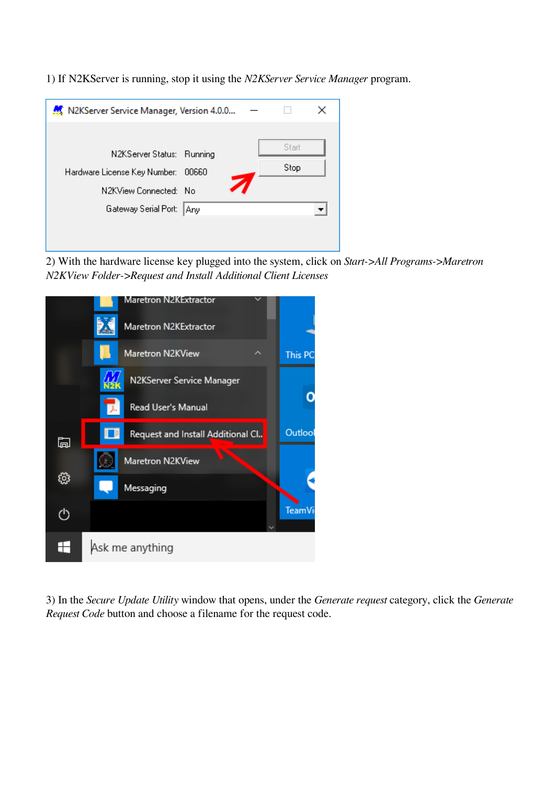1) If N2KServer is running, stop it using the *N2KServer Service Manager* program.

| N2KServer Service Manager, Version 4.0.0                           |  |       |  |
|--------------------------------------------------------------------|--|-------|--|
|                                                                    |  | Start |  |
| N2KServer Status: Running<br>Hardware License Key Number:<br>00660 |  | Stop  |  |
| N2KView Connected: No                                              |  |       |  |
| Gateway Serial Port:<br>Any                                        |  |       |  |
|                                                                    |  |       |  |

2) With the hardware license key plugged into the system, click on *Start->All Programs->Maretron N2KView Folder->Request and Install Additional Client Licenses*



3) In the *Secure Update Utility* window that opens, under the *Generate request* category, click the *Generate Request Code* button and choose a filename for the request code.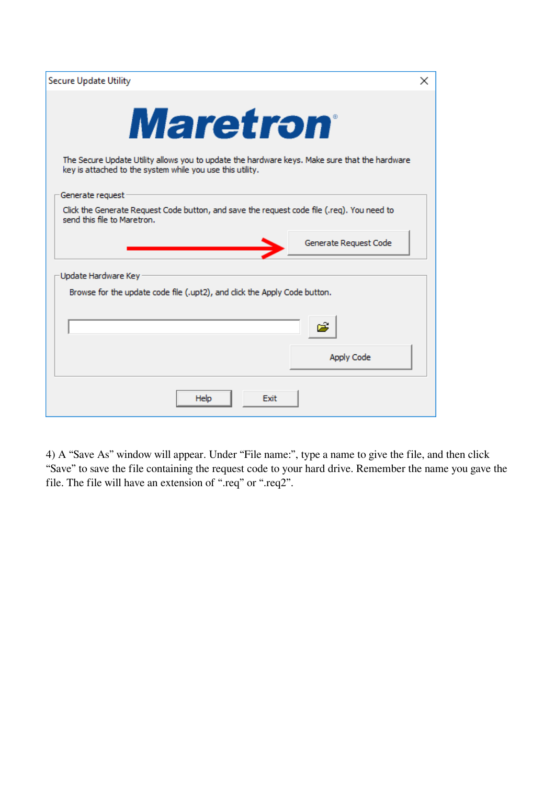| <b>Secure Update Utility</b>                                                                                                                                                  | $\times$ |
|-------------------------------------------------------------------------------------------------------------------------------------------------------------------------------|----------|
| <b>Maretron</b><br>The Secure Update Utility allows you to update the hardware keys. Make sure that the hardware<br>key is attached to the system while you use this utility. |          |
| Generate request                                                                                                                                                              |          |
| Click the Generate Request Code button, and save the request code file (.req). You need to<br>send this file to Maretron.                                                     |          |
| Generate Request Code                                                                                                                                                         |          |
| Update Hardware Key                                                                                                                                                           |          |
| Browse for the update code file (.upt2), and click the Apply Code button.                                                                                                     |          |
| Apply Code                                                                                                                                                                    |          |
| <b>Help</b><br>Exit                                                                                                                                                           |          |

4) A "Save As" window will appear. Under "File name:", type a name to give the file, and then click "Save" to save the file containing the request code to your hard drive. Remember the name you gave the file. The file will have an extension of ".req" or ".req2".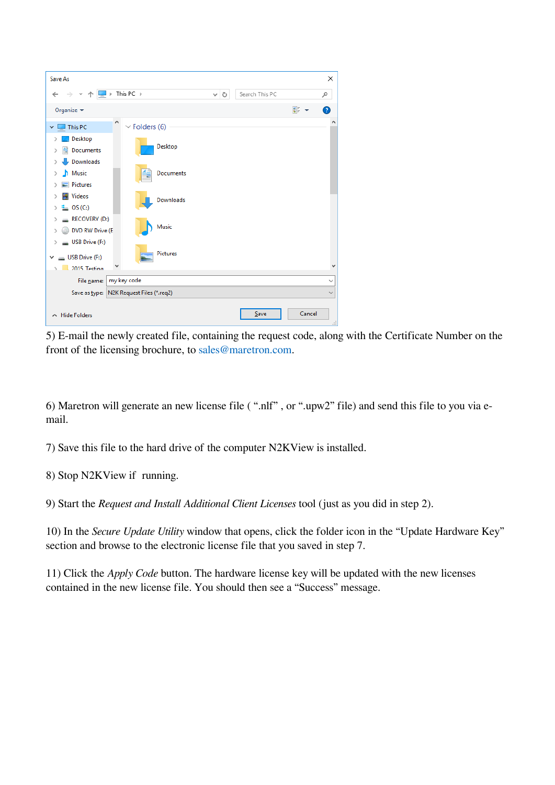| Save As                                                                        |                                          |     |                |        | ×            |
|--------------------------------------------------------------------------------|------------------------------------------|-----|----------------|--------|--------------|
| $\vee$ $\uparrow$ $\Box$ > This PC ><br>$\leftarrow$                           |                                          | √ ⊙ | Search This PC |        | مر           |
| Organize $\blacktriangleright$                                                 |                                          |     |                | 등대 -   | ℯ            |
| ٨<br>This PC<br>$\checkmark$                                                   | $\vee$ Folders (6)                       |     |                |        | ۸            |
| Desktop<br>Documents<br>兽                                                      | Desktop                                  |     |                |        |              |
| Downloads<br>Music<br>⋋<br>Pictures                                            | Documents                                |     |                |        |              |
| <b>W</b> Videos<br>><br>$\frac{1}{2}$ , OS (C:)<br>У                           | Downloads                                |     |                |        |              |
| $RECOVERN$ (D:)<br>DVD RW Drive (E<br>↘                                        | Music                                    |     |                |        |              |
| USB Drive (F:)<br>><br>$\equiv$ USB Drive (F:)<br>$\checkmark$<br>2015 Testing | <b>Pictures</b>                          |     |                |        | v            |
| File name:                                                                     | my key code                              |     |                |        | $\checkmark$ |
|                                                                                | Save as type: N2K Request Files (*.req2) |     |                |        | $\checkmark$ |
| $\land$ Hide Folders                                                           |                                          |     | Save           | Cancel | ă            |

5) E-mail the newly created file, containing the request code, along with the Certificate Number on the front of the licensing brochure, to [sales@maretron.com](mailto:sales@maretron.com).

6) Maretron will generate an new license file ( ".nlf" , or ".upw2" file) and send this file to you via email.

7) Save this file to the hard drive of the computer N2KView is installed.

8) Stop N2KView if running.

9) Start the *Request and Install Additional Client Licenses* tool (just as you did in step 2).

10) In the *Secure Update Utility* window that opens, click the folder icon in the "Update Hardware Key" section and browse to the electronic license file that you saved in step 7.

11) Click the *Apply Code* button. The hardware license key will be updated with the new licenses contained in the new license file. You should then see a "Success" message.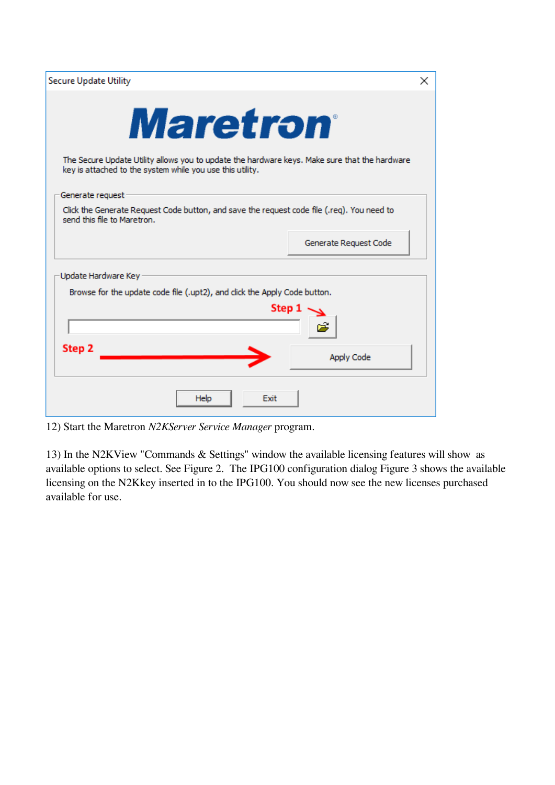| <b>Secure Update Utility</b>                                                                                              | ×                     |
|---------------------------------------------------------------------------------------------------------------------------|-----------------------|
|                                                                                                                           |                       |
| <i><b>Maretron</b></i><br>The Secure Update Utility allows you to update the hardware keys. Make sure that the hardware   |                       |
| key is attached to the system while you use this utility.                                                                 |                       |
| Generate request                                                                                                          |                       |
| Click the Generate Request Code button, and save the request code file (.req). You need to<br>send this file to Maretron. |                       |
|                                                                                                                           | Generate Request Code |
| Update Hardware Key                                                                                                       |                       |
| Browse for the update code file (.upt2), and click the Apply Code button.                                                 |                       |
| Step 2                                                                                                                    | Step 1                |
|                                                                                                                           | <b>Apply Code</b>     |
| Help<br>Exit                                                                                                              |                       |

12) Start the Maretron *N2KServer Service Manager* program.

13) In the N2KView "Commands & Settings" window the available licensing features will show as available options to select. See Figure 2. The IPG100 configuration dialog Figure 3 shows the available licensing on the N2Kkey inserted in to the IPG100. You should now see the new licenses purchased available for use.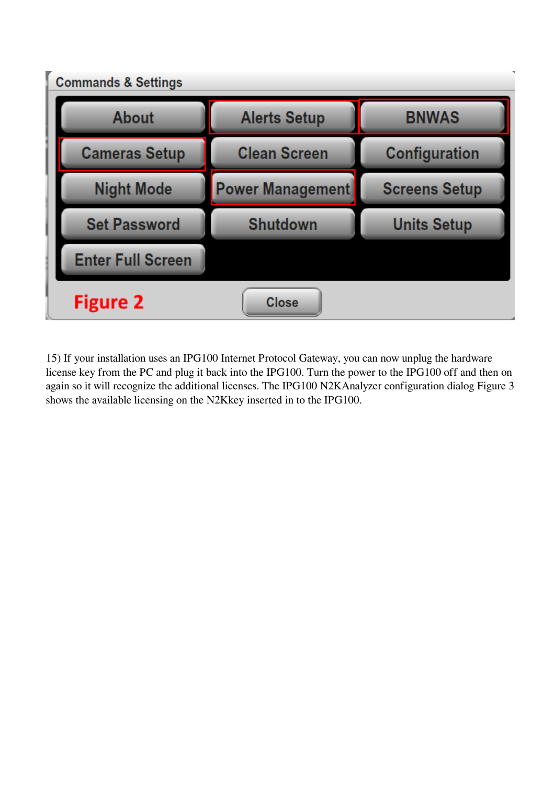

15) If your installation uses an IPG100 Internet Protocol Gateway, you can now unplug the hardware license key from the PC and plug it back into the IPG100. Turn the power to the IPG100 off and then on again so it will recognize the additional licenses. The IPG100 N2KAnalyzer configuration dialog Figure 3 shows the available licensing on the N2Kkey inserted in to the IPG100.